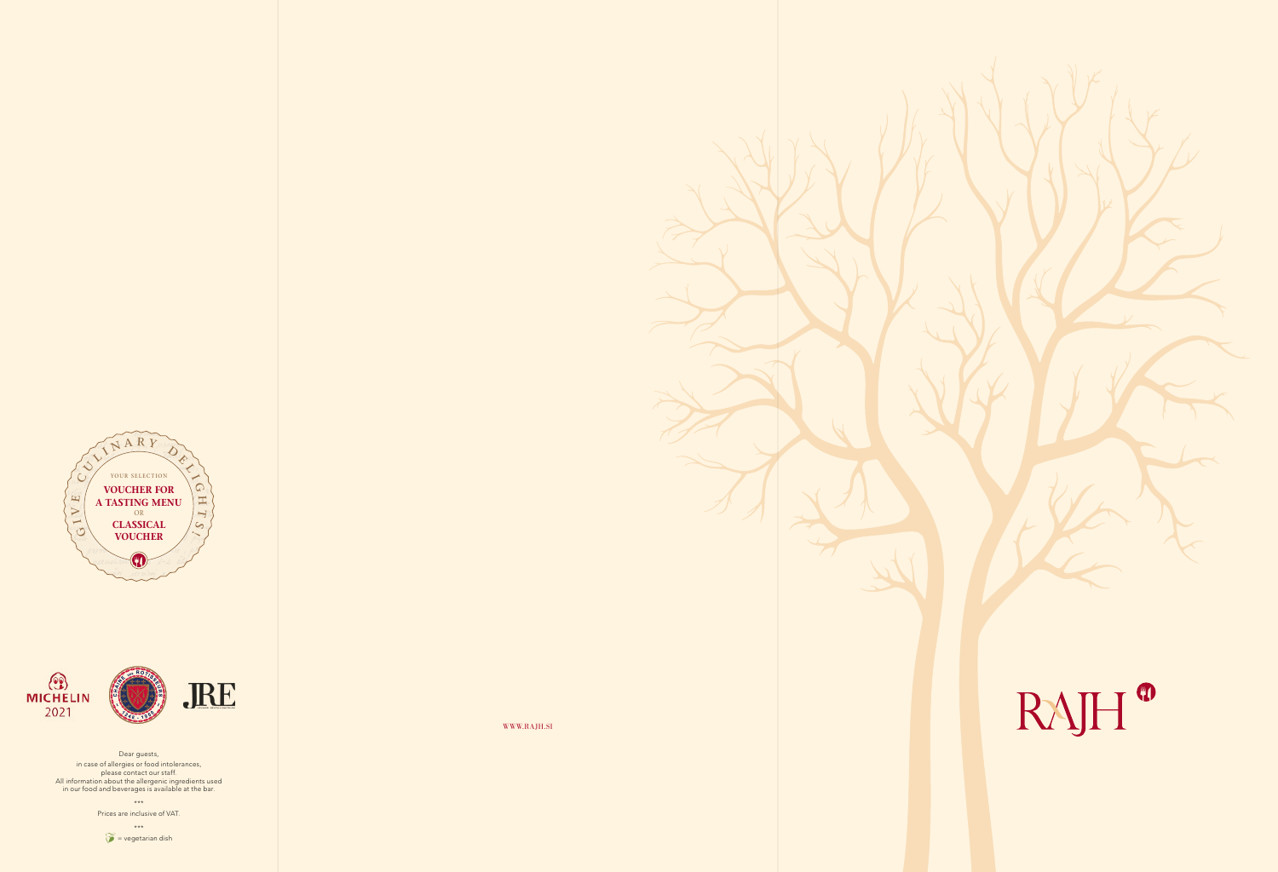WWW.RAJH.SI



Dear guests, in case of allergies or food intolerances, please contact our staff. All information about the allergenic ingredients used in our food and beverages is available at the bar. \*\*\* Prices are inclusive of VAT. \*\*\*

 $\hat{\mathcal{V}}$  = vegetarian dish